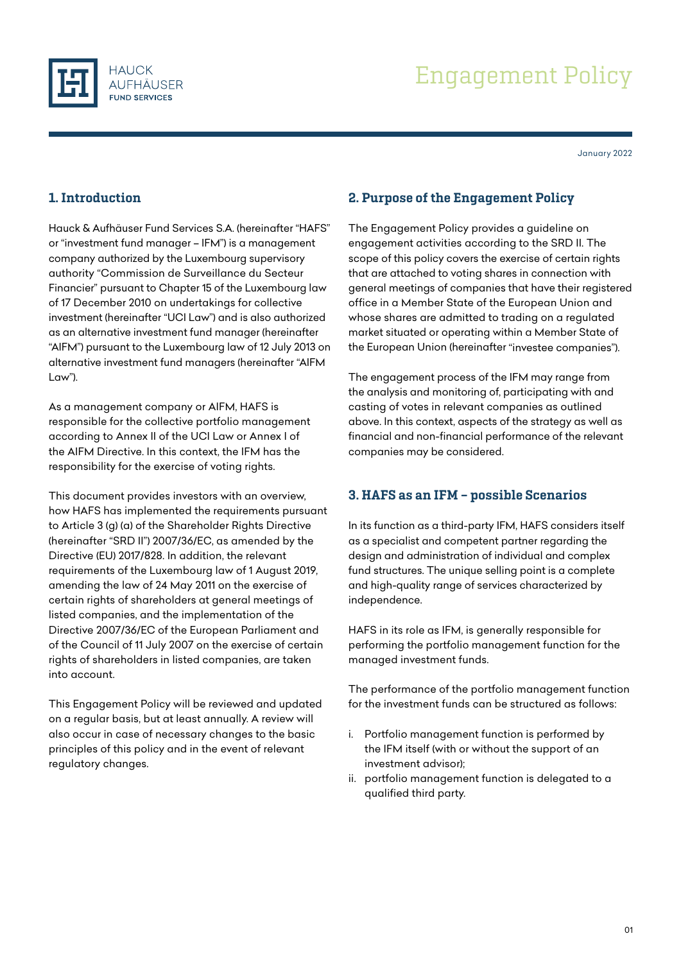



January 2022

# 1. Introduction

Hauck & Aufhäuser Fund Services S.A. (hereinafter "HAFS" or "investment fund manager – IFM") is a management company authorized by the Luxembourg supervisory authority "Commission de Surveillance du Secteur Financier" pursuant to Chapter 15 of the Luxembourg law of 17 December 2010 on undertakings for collective investment (hereinafter "UCI Law") and is also authorized as an alternative investment fund manager (hereinafter "AIFM") pursuant to the Luxembourg law of 12 July 2013 on alternative investment fund managers (hereinafter "AIFM Law").

As a management company or AIFM, HAFS is responsible for the collective portfolio management according to Annex II of the UCI Law or Annex I of the AIFM Directive. In this context, the IFM has the responsibility for the exercise of voting rights.

This document provides investors with an overview, how HAFS has implemented the requirements pursuant to Article 3 (g) (a) of the Shareholder Rights Directive (hereinafter "SRD II") 2007/36/EC, as amended by the Directive (EU) 2017/828. In addition, the relevant requirements of the Luxembourg law of 1 August 2019, amending the law of 24 May 2011 on the exercise of certain rights of shareholders at general meetings of listed companies, and the implementation of the Directive 2007/36/EC of the European Parliament and of the Council of 11 July 2007 on the exercise of certain rights of shareholders in listed companies, are taken into account.

This Engagement Policy will be reviewed and updated on a regular basis, but at least annually. A review will also occur in case of necessary changes to the basic principles of this policy and in the event of relevant regulatory changes.

### 2. Purpose of the Engagement Policy

The Engagement Policy provides a guideline on engagement activities according to the SRD II. The scope of this policy covers the exercise of certain rights that are attached to voting shares in connection with general meetings of companies that have their registered office in a Member State of the European Union and whose shares are admitted to trading on a regulated market situated or operating within a Member State of the European Union (hereinafter "investee companies").

The engagement process of the IFM may range from the analysis and monitoring of, participating with and casting of votes in relevant companies as outlined above. In this context, aspects of the strategy as well as financial and non-financial performance of the relevant companies may be considered.

## 3. HAFS as an IFM – possible Scenarios

In its function as a third-party IFM, HAFS considers itself as a specialist and competent partner regarding the design and administration of individual and complex fund structures. The unique selling point is a complete and high-quality range of services characterized by independence.

HAFS in its role as IFM, is generally responsible for performing the portfolio management function for the managed investment funds.

The performance of the portfolio management function for the investment funds can be structured as follows:

- i. Portfolio management function is performed by the IFM itself (with or without the support of an investment advisor);
- ii. portfolio management function is delegated to a qualified third party.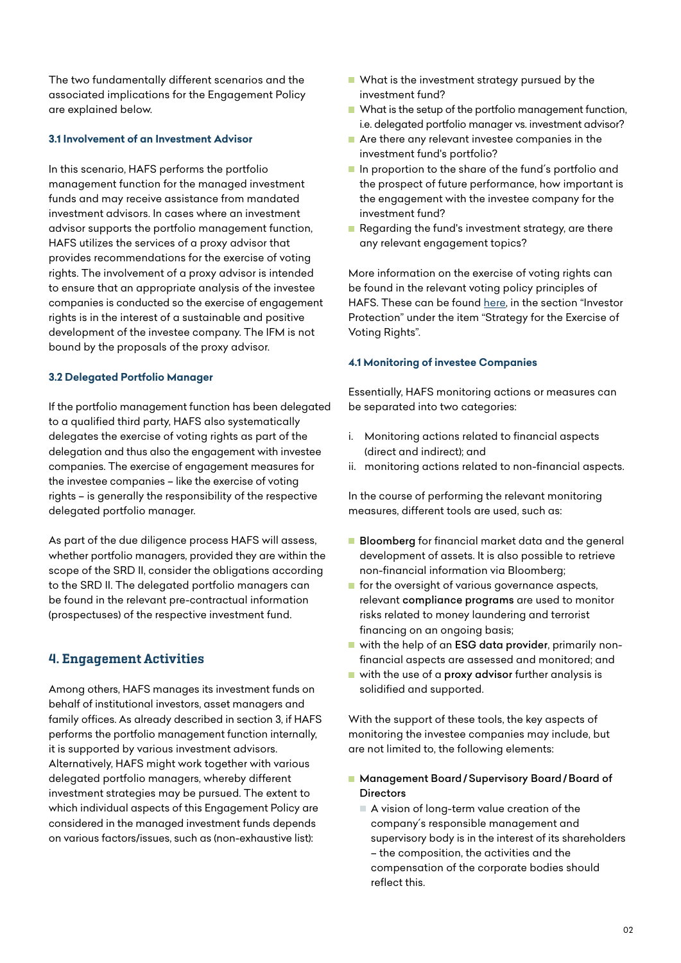The two fundamentally different scenarios and the associated implications for the Engagement Policy are explained below.

#### **3.1 Involvement of an Investment Advisor**

In this scenario, HAFS performs the portfolio management function for the managed investment funds and may receive assistance from mandated investment advisors. In cases where an investment advisor supports the portfolio management function, HAFS utilizes the services of a proxy advisor that provides recommendations for the exercise of voting rights. The involvement of a proxy advisor is intended to ensure that an appropriate analysis of the investee companies is conducted so the exercise of engagement rights is in the interest of a sustainable and positive development of the investee company. The IFM is not bound by the proposals of the proxy advisor.

#### **3.2 Delegated Portfolio Manager**

If the portfolio management function has been delegated to a qualified third party, HAFS also systematically delegates the exercise of voting rights as part of the delegation and thus also the engagement with investee companies. The exercise of engagement measures for the investee companies – like the exercise of voting rights – is generally the responsibility of the respective delegated portfolio manager.

As part of the due diligence process HAFS will assess, whether portfolio managers, provided they are within the scope of the SRD II, consider the obligations according to the SRD II. The delegated portfolio managers can be found in the relevant pre-contractual information (prospectuses) of the respective investment fund.

### 4. Engagement Activities

Among others, HAFS manages its investment funds on behalf of institutional investors, asset managers and family offices. As already described in section 3, if HAFS performs the portfolio management function internally, it is supported by various investment advisors. Alternatively, HAFS might work together with various delegated portfolio managers, whereby different investment strategies may be pursued. The extent to which individual aspects of this Engagement Policy are considered in the managed investment funds depends on various factors/issues, such as (non-exhaustive list):

- What is the investment strategy pursued by the investment fund?
- What is the setup of the portfolio management function, i.e. delegated portfolio manager vs. investment advisor?
- Are there any relevant investee companies in the investment fund's portfolio?
- In proportion to the share of the fund's portfolio and the prospect of future performance, how important is the engagement with the investee company for the investment fund?
- Regarding the fund's investment strategy, are there any relevant engagement topics?

More information on the exercise of voting rights can be found in the relevant voting policy principles of HAFS. These can be found [here](https://www.hauck-aufhaeuser.com/en/legal-notices-1), in the section "Investor Protection" under the item "Strategy for the Exercise of Voting Rights".

#### **4.1 Monitoring of investee Companies**

Essentially, HAFS monitoring actions or measures can be separated into two categories:

- i. Monitoring actions related to financial aspects (direct and indirect); and
- ii. monitoring actions related to non-financial aspects.

In the course of performing the relevant monitoring measures, different tools are used, such as:

- **Bloomberg** for financial market data and the general development of assets. It is also possible to retrieve non-financial information via Bloomberg;
- $\blacksquare$  for the oversight of various governance aspects, relevant compliance programs are used to monitor risks related to money laundering and terrorist financing on an ongoing basis;
- with the help of an ESG data provider, primarily nonfinancial aspects are assessed and monitored; and
- with the use of a proxy advisor further analysis is solidified and supported.

With the support of these tools, the key aspects of monitoring the investee companies may include, but are not limited to, the following elements:

- Management Board/Supervisory Board/Board of **Directors** 
	- A vision of long-term value creation of the company´s responsible management and supervisory body is in the interest of its shareholders – the composition, the activities and the compensation of the corporate bodies should reflect this.